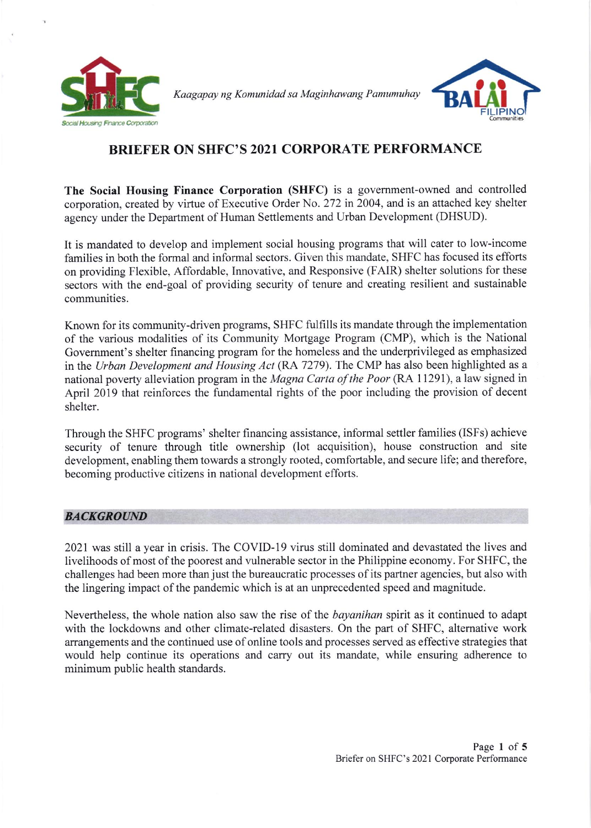

Kaagapay ng Komunidad sa Maginhawang Pamumuhay



## BRIEFER ON SHFC'S 2021 CORPORATE PERFORMANCE

The Social Housing Finance Corporation (SHFC) is a govemment-owned and controlled corporation, created by virtue of Executive Order No. 272 in 2004, and is an attached key shelter agency under the Department of Human Settlements and Urban Development (DHSUD).

It is mandated to develop and implement social housing programs that will cater to low-income families in both the formal and informal sectors. Given this mandate, SHFC has focused its efforts on providing Flexible, Affordable, Innovative, and Responsive (FAIR) shelter solutions for these sectors with the end-goal of providing security of tenure and creating resilient and sustainable communities.

Known for its community-driven programs, SHFC fulfills its mandate through the implementation of the various modalities of its Community Mortgage Program (CMP), which is the National Govemment's shelter financing program for the homeless and the underprivileged as emphasized in the Urban Development and Housing Act (RA 7279). The CMP has also been highlighted as a national poverty alleviation program in the Magna Carta of the Poor (RA 11291), a law signed in April 2019 that reinforces the fundamental rights of the poor including the provision of decent shelter.

Through the SHFC programs' shelter financing assistance, informal settler families (ISFs) achieve security of tenure through title ownership (lot acquisition), house construction and site development, enabling them towards a strongly rooted, comfortable, and secure Iife; and therefore, becoming productive citizens in national development efforts.

## **BACKGROUND**

2021 was still a year in crisis. The COVID-19 virus still dominated and devastated the lives and livelihoods of most of the poorest and vulnerable sector in the Philippine economy. For SHFC, the challenges had been more than just the bureaucratic processes of its partner agencies, but also with the lingering impact of the pandemic which is at an unprecedented speed and magnitude.

Nevertheless, the whole nation also saw the rise of the *bayanihan* spirit as it continued to adapt with the lockdowns and other climate-related disasters. On the part of SHFC, altemative work arrangements and the continued use of online tools and processes served as effective strategies that would help continue its operations and carry out its mandate, while ensuring adherence to minimum public health standards.